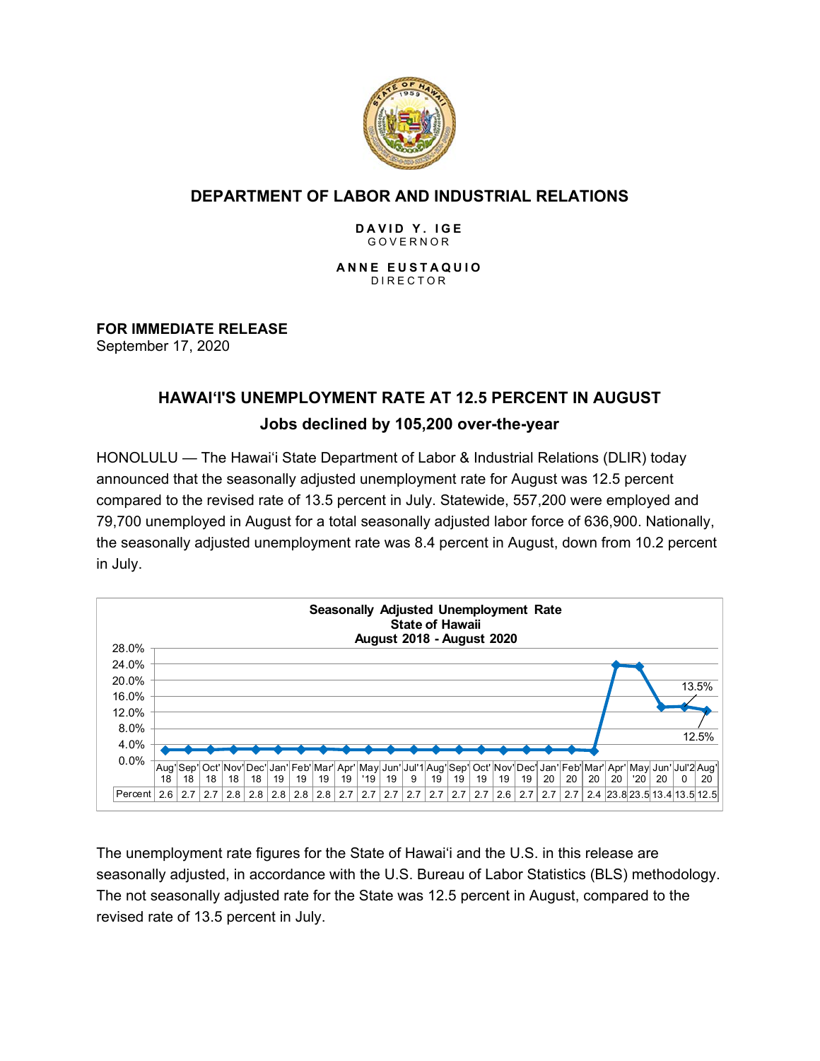

## **DEPARTMENT OF LABOR AND INDUSTRIAL RELATIONS**

#### **DAVID Y. IGE** GOVERNOR

**ANNE EUSTAQUIO** DIRECTOR

## **FOR IMMEDIATE RELEASE**

September 17, 2020

# **HAWAI'I'S UNEMPLOYMENT RATE AT 12.5 PERCENT IN AUGUST Jobs declined by 105,200 over-the-year**

HONOLULU — The Hawai'i State Department of Labor & Industrial Relations (DLIR) today announced that the seasonally adjusted unemployment rate for August was 12.5 percent compared to the revised rate of 13.5 percent in July. Statewide, 557,200 were employed and 79,700 unemployed in August for a total seasonally adjusted labor force of 636,900. Nationally, the seasonally adjusted unemployment rate was 8.4 percent in August, down from 10.2 percent in July.



The unemployment rate figures for the State of Hawai'i and the U.S. in this release are seasonally adjusted, in accordance with the U.S. Bureau of Labor Statistics (BLS) methodology. The not seasonally adjusted rate for the State was 12.5 percent in August, compared to the revised rate of 13.5 percent in July.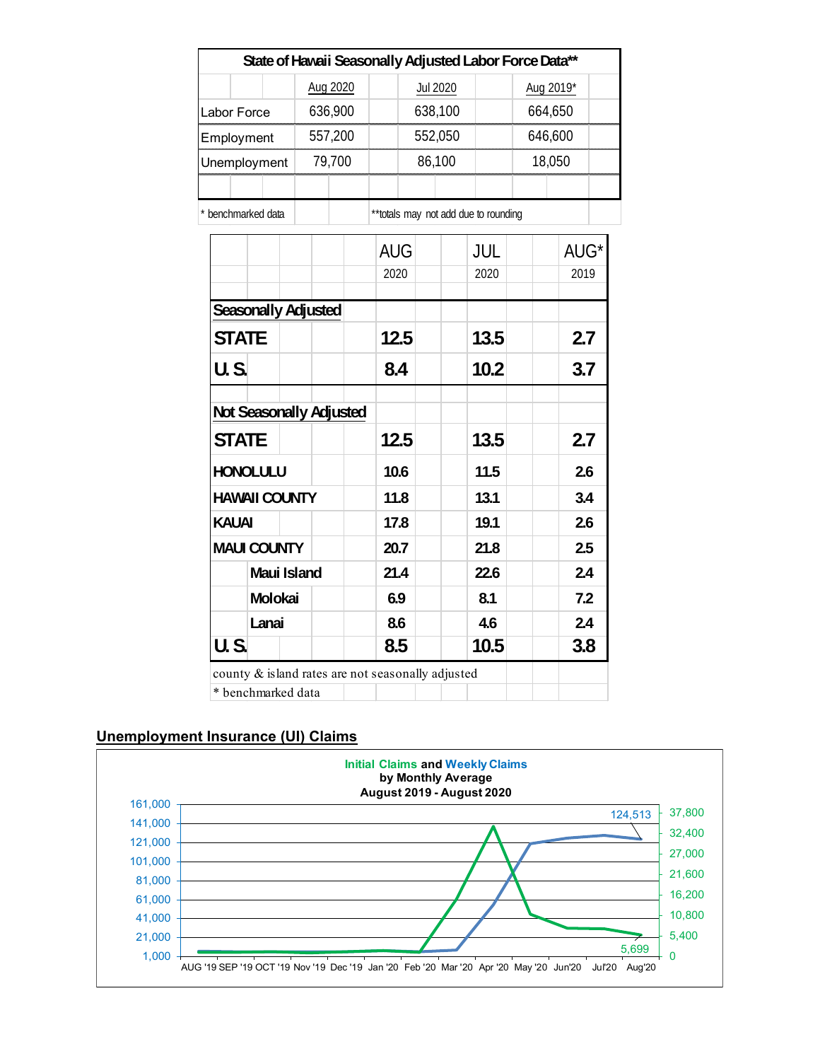|                                                   |          |            | State of Hawaii Seasonally Adjusted Labor Force Data** |           |      |  |
|---------------------------------------------------|----------|------------|--------------------------------------------------------|-----------|------|--|
|                                                   | Aug 2020 |            | <b>Jul 2020</b>                                        | Aug 2019* |      |  |
| Labor Force                                       | 636,900  |            | 638,100                                                | 664,650   |      |  |
| 557,200<br>Employment                             |          |            | 552,050                                                | 646,600   |      |  |
| 79,700<br>Unemployment                            |          |            | 86,100                                                 | 18,050    |      |  |
|                                                   |          |            |                                                        |           |      |  |
| * benchmarked data                                |          |            | ** totals may not add due to rounding                  |           |      |  |
|                                                   |          | <b>AUG</b> | JUL                                                    |           | AUG* |  |
|                                                   |          | 2020       | 2020                                                   |           | 2019 |  |
| <b>Seasonally Adjusted</b>                        |          |            |                                                        |           |      |  |
| <b>STATE</b>                                      |          | 12.5       | 13.5                                                   |           | 2.7  |  |
|                                                   |          |            |                                                        |           |      |  |
| <b>U.S.</b>                                       |          | 8.4        | 10.2                                                   |           | 3.7  |  |
| Not Seasonally Adjusted                           |          |            |                                                        |           |      |  |
| <b>STATE</b>                                      |          | 12.5       | 13.5                                                   |           | 2.7  |  |
| <b>HONOLULU</b>                                   |          |            | 11.5                                                   |           | 2.6  |  |
| <b>HAWAII COUNTY</b>                              |          | 11.8       | 13.1                                                   |           | 3.4  |  |
| <b>KAUAI</b>                                      |          | 17.8       | 19.1                                                   |           | 2.6  |  |
| <b>MAUI COUNTY</b>                                |          | 20.7       | 21.8                                                   |           | 2.5  |  |
| Maui Island                                       |          | 21.4       | 22.6                                                   |           | 2.4  |  |
| Molokai                                           |          | 6.9        | 8.1                                                    |           | 7.2  |  |
| Lanai                                             |          | 8.6        | 4.6                                                    |           | 2.4  |  |
| $\overline{U.S.}$                                 |          | 8.5        | 10.5                                                   |           | 3.8  |  |
| county & island rates are not seasonally adjusted |          |            |                                                        |           |      |  |
| * benchmarked data                                |          |            |                                                        |           |      |  |

#### **Unemployment Insurance (UI) Claims**

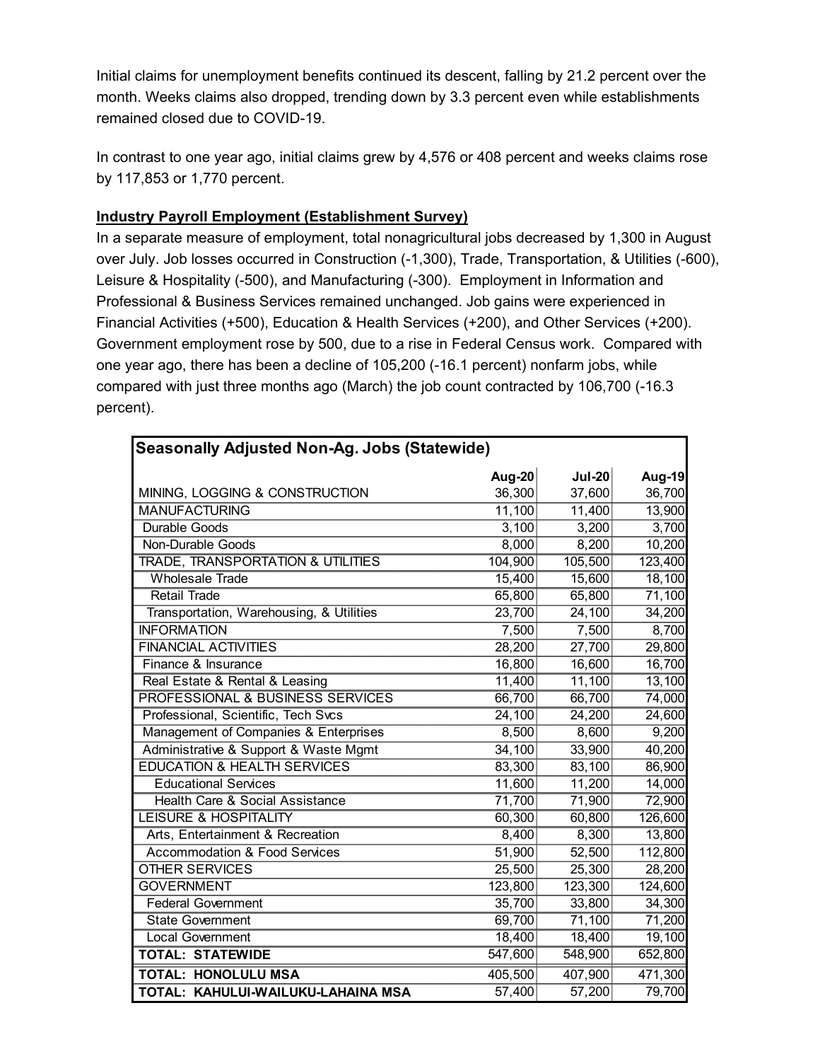Initial claims for unemployment benefits continued its descent, falling by 21.2 percent over the month. Weeks claims also dropped, trending down by 3.3 percent even while establishments remained closed due to COVID-19.

In contrast to one year ago, initial claims grew by 4,576 or 408 percent and weeks claims rose by 117,853 or 1,770 percent.

#### **Industry Payroll Employment (Establishment Survey)**

In a separate measure of employment, total nonagricultural jobs decreased by 1,300 in August over July. Job losses occurred in Construction (-1,300), Trade, Transportation, & Utilities (-600), Leisure & Hospitality (-500), and Manufacturing (-300). Employment in Information and Professional & Business Services remained unchanged. Job gains were experienced in Financial Activities (+500), Education & Health Services (+200), and Other Services (+200). Government employment rose by 500, due to a rise in Federal Census work. Compared with one year ago, there has been a decline of 105,200 (-16.1 percent) nonfarm jobs, while compared with just three months ago (March) the job count contracted by 106,700 (-16.3 percent).

| <b>Seasonally Adjusted Non-Ag. Jobs (Statewide)</b> |         |               |         |  |  |  |  |
|-----------------------------------------------------|---------|---------------|---------|--|--|--|--|
|                                                     | Aug-20  | <b>Jul-20</b> | Aug-19  |  |  |  |  |
| MINING, LOGGING & CONSTRUCTION                      | 36,300  | 37,600        | 36,700  |  |  |  |  |
| <b>MANUFACTURING</b>                                | 11,100  | 11,400        | 13,900  |  |  |  |  |
| Durable Goods                                       | 3,100   | 3,200         | 3,700   |  |  |  |  |
| <b>Non-Durable Goods</b>                            | 8,000   | 8,200         | 10,200  |  |  |  |  |
| TRADE, TRANSPORTATION & UTILITIES                   | 104,900 | 105,500       | 123,400 |  |  |  |  |
| <b>Wholesale Trade</b>                              | 15,400  | 15,600        | 18,100  |  |  |  |  |
| <b>Retail Trade</b>                                 | 65,800  | 65,800        | 71,100  |  |  |  |  |
| Transportation, Warehousing, & Utilities            | 23,700  | 24,100        | 34,200  |  |  |  |  |
| <b>INFORMATION</b>                                  | 7,500   | 7,500         | 8,700   |  |  |  |  |
| <b>FINANCIAL ACTIVITIES</b>                         | 28,200  | 27,700        | 29,800  |  |  |  |  |
| Finance & Insurance                                 | 16,800  | 16,600        | 16,700  |  |  |  |  |
| Real Estate & Rental & Leasing                      | 11,400  | 11,100        | 13,100  |  |  |  |  |
| PROFESSIONAL & BUSINESS SERVICES                    | 66,700  | 66,700        | 74,000  |  |  |  |  |
| Professional, Scientific, Tech Svcs                 | 24,100  | 24,200        | 24,600  |  |  |  |  |
| Management of Companies & Enterprises               | 8,500   | 8,600         | 9,200   |  |  |  |  |
| Administrative & Support & Waste Mgmt               | 34,100  | 33,900        | 40,200  |  |  |  |  |
| <b>EDUCATION &amp; HEALTH SERVICES</b>              | 83,300  | 83,100        | 86,900  |  |  |  |  |
| <b>Educational Services</b>                         | 11,600  | 11,200        | 14,000  |  |  |  |  |
| Health Care & Social Assistance                     | 71,700  | 71,900        | 72,900  |  |  |  |  |
| <b>LEISURE &amp; HOSPITALITY</b>                    | 60,300  | 60,800        | 126,600 |  |  |  |  |
| Arts, Entertainment & Recreation                    | 8,400   | 8,300         | 13,800  |  |  |  |  |
| <b>Accommodation &amp; Food Services</b>            | 51,900  | 52,500        | 112,800 |  |  |  |  |
| <b>OTHER SERVICES</b>                               | 25,500  | 25,300        | 28,200  |  |  |  |  |
| <b>GOVERNMENT</b>                                   | 123,800 | 123,300       | 124,600 |  |  |  |  |
| <b>Federal Government</b>                           | 35,700  | 33,800        | 34,300  |  |  |  |  |
| <b>State Government</b>                             | 69,700  | 71,100        | 71,200  |  |  |  |  |
| <b>Local Government</b>                             | 18,400  | 18,400        | 19,100  |  |  |  |  |
| <b>TOTAL: STATEWIDE</b>                             | 547,600 | 548,900       | 652,800 |  |  |  |  |
| <b>TOTAL: HONOLULU MSA</b>                          | 405,500 | 407,900       | 471,300 |  |  |  |  |
| TOTAL: KAHULUI-WAILUKU-LAHAINA MSA                  | 57,400  | 57,200        | 79,700  |  |  |  |  |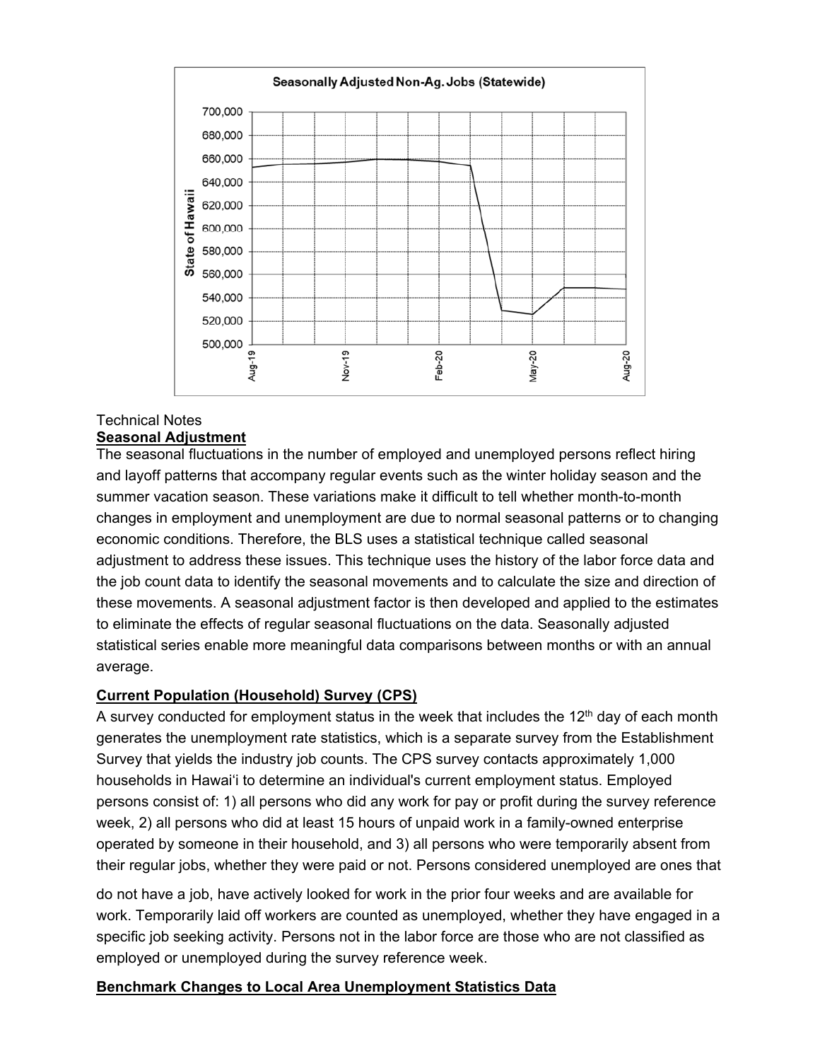

#### Technical Notes **Seasonal Adjustment**

The seasonal fluctuations in the number of employed and unemployed persons reflect hiring and layoff patterns that accompany regular events such as the winter holiday season and the summer vacation season. These variations make it difficult to tell whether month-to-month changes in employment and unemployment are due to normal seasonal patterns or to changing economic conditions. Therefore, the BLS uses a statistical technique called seasonal adjustment to address these issues. This technique uses the history of the labor force data and the job count data to identify the seasonal movements and to calculate the size and direction of these movements. A seasonal adjustment factor is then developed and applied to the estimates to eliminate the effects of regular seasonal fluctuations on the data. Seasonally adjusted statistical series enable more meaningful data comparisons between months or with an annual average.

## **Current Population (Household) Survey (CPS)**

A survey conducted for employment status in the week that includes the  $12<sup>th</sup>$  day of each month generates the unemployment rate statistics, which is a separate survey from the Establishment Survey that yields the industry job counts. The CPS survey contacts approximately 1,000 households in Hawai'i to determine an individual's current employment status. Employed persons consist of: 1) all persons who did any work for pay or profit during the survey reference week, 2) all persons who did at least 15 hours of unpaid work in a family-owned enterprise operated by someone in their household, and 3) all persons who were temporarily absent from their regular jobs, whether they were paid or not. Persons considered unemployed are ones that

do not have a job, have actively looked for work in the prior four weeks and are available for work. Temporarily laid off workers are counted as unemployed, whether they have engaged in a specific job seeking activity. Persons not in the labor force are those who are not classified as employed or unemployed during the survey reference week.

## **Benchmark Changes to Local Area Unemployment Statistics Data**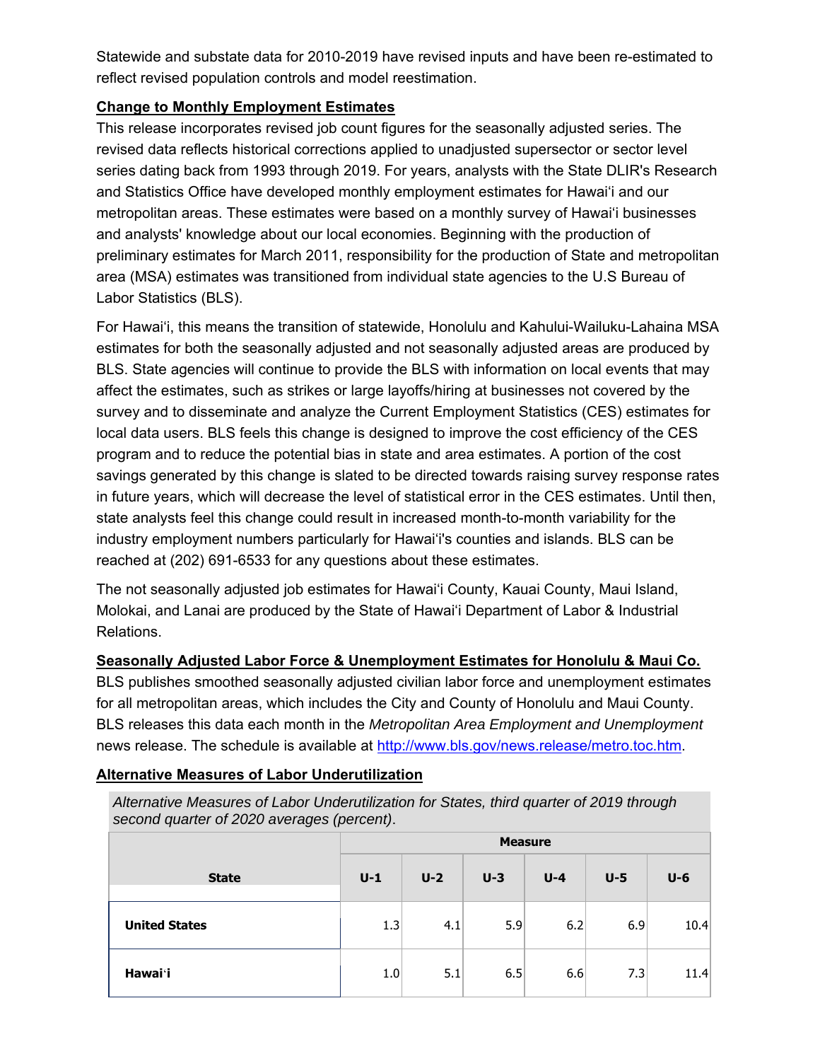Statewide and substate data for 2010-2019 have revised inputs and have been re-estimated to reflect revised population controls and model reestimation.

### **Change to Monthly Employment Estimates**

This release incorporates revised job count figures for the seasonally adjusted series. The revised data reflects historical corrections applied to unadjusted supersector or sector level series dating back from 1993 through 2019. For years, analysts with the State DLIR's Research and Statistics Office have developed monthly employment estimates for Hawai'i and our metropolitan areas. These estimates were based on a monthly survey of Hawai'i businesses and analysts' knowledge about our local economies. Beginning with the production of preliminary estimates for March 2011, responsibility for the production of State and metropolitan area (MSA) estimates was transitioned from individual state agencies to the U.S Bureau of Labor Statistics (BLS).

For Hawai'i, this means the transition of statewide, Honolulu and Kahului-Wailuku-Lahaina MSA estimates for both the seasonally adjusted and not seasonally adjusted areas are produced by BLS. State agencies will continue to provide the BLS with information on local events that may affect the estimates, such as strikes or large layoffs/hiring at businesses not covered by the survey and to disseminate and analyze the Current Employment Statistics (CES) estimates for local data users. BLS feels this change is designed to improve the cost efficiency of the CES program and to reduce the potential bias in state and area estimates. A portion of the cost savings generated by this change is slated to be directed towards raising survey response rates in future years, which will decrease the level of statistical error in the CES estimates. Until then, state analysts feel this change could result in increased month-to-month variability for the industry employment numbers particularly for Hawai'i's counties and islands. BLS can be reached at (202) 691-6533 for any questions about these estimates.

The not seasonally adjusted job estimates for Hawai'i County, Kauai County, Maui Island, Molokai, and Lanai are produced by the State of Hawai'i Department of Labor & Industrial Relations.

**Seasonally Adjusted Labor Force & Unemployment Estimates for Honolulu & Maui Co.**  BLS publishes smoothed seasonally adjusted civilian labor force and unemployment estimates for all metropolitan areas, which includes the City and County of Honolulu and Maui County.

BLS releases this data each month in the *Metropolitan Area Employment and Unemployment* news release. The schedule is available at http://www.bls.gov/news.release/metro.toc.htm.

*Alternative Measures of Labor Underutilization for States, third quarter of 2019 through* 

| second quarter of 2020 averages (percent). |                |       |       |         |       |       |  |  |  |
|--------------------------------------------|----------------|-------|-------|---------|-------|-------|--|--|--|
|                                            | <b>Measure</b> |       |       |         |       |       |  |  |  |
| <b>State</b>                               | $U-1$          | $U-2$ | $U-3$ | $U - 4$ | $U-5$ | $U-6$ |  |  |  |
| <b>United States</b>                       | 1.3            | 4.1   | 5.9   | 6.2     | 6.9   | 10.4  |  |  |  |
| Hawai'i                                    | 1.0            | 5.1   | 6.5   | 6.6     | 7.3   | 11.4  |  |  |  |

#### **Alternative Measures of Labor Underutilization**